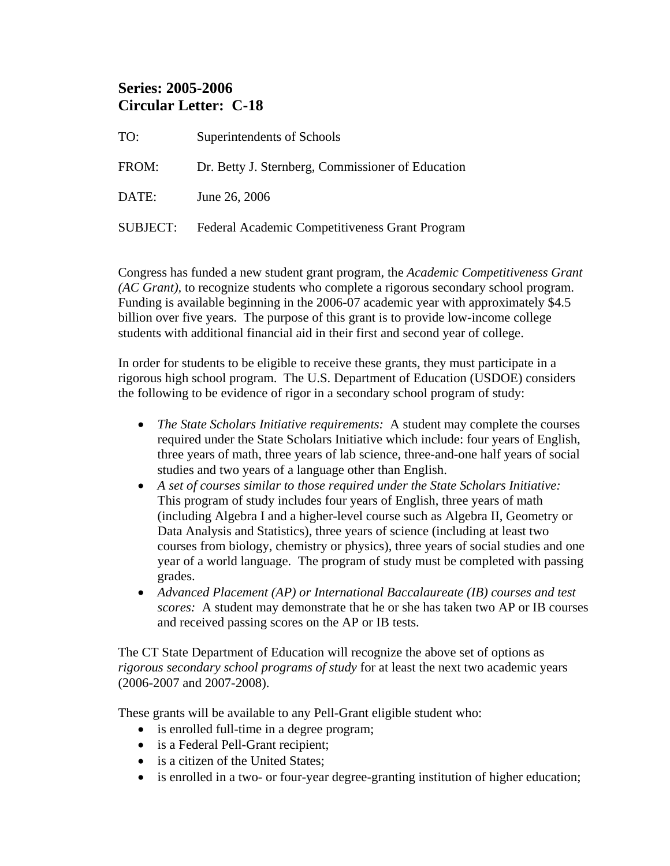## **Series: 2005-2006 Circular Letter: C-18**

TO: Superintendents of Schools FROM: Dr. Betty J. Sternberg, Commissioner of Education DATE: June 26, 2006 SUBJECT: Federal Academic Competitiveness Grant Program

Congress has funded a new student grant program, the *Academic Competitiveness Grant (AC Grant),* to recognize students who complete a rigorous secondary school program. Funding is available beginning in the 2006-07 academic year with approximately \$4.5 billion over five years. The purpose of this grant is to provide low-income college students with additional financial aid in their first and second year of college.

In order for students to be eligible to receive these grants, they must participate in a rigorous high school program. The U.S. Department of Education (USDOE) considers the following to be evidence of rigor in a secondary school program of study:

- *The State Scholars Initiative requirements:* A student may complete the courses required under the State Scholars Initiative which include: four years of English, three years of math, three years of lab science, three-and-one half years of social studies and two years of a language other than English.
- *A set of courses similar to those required under the State Scholars Initiative:*  This program of study includes four years of English, three years of math (including Algebra I and a higher-level course such as Algebra II, Geometry or Data Analysis and Statistics), three years of science (including at least two courses from biology, chemistry or physics), three years of social studies and one year of a world language. The program of study must be completed with passing grades.
- *Advanced Placement (AP) or International Baccalaureate (IB) courses and test scores:* A student may demonstrate that he or she has taken two AP or IB courses and received passing scores on the AP or IB tests.

The CT State Department of Education will recognize the above set of options as *rigorous secondary school programs of study* for at least the next two academic years (2006-2007 and 2007-2008).

These grants will be available to any Pell-Grant eligible student who:

- is enrolled full-time in a degree program;
- is a Federal Pell-Grant recipient;
- is a citizen of the United States:
- is enrolled in a two- or four-year degree-granting institution of higher education;